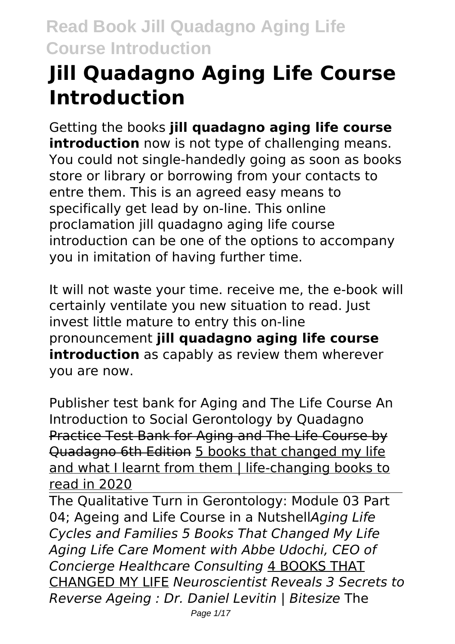# **Jill Quadagno Aging Life Course Introduction**

Getting the books **jill quadagno aging life course introduction** now is not type of challenging means. You could not single-handedly going as soon as books store or library or borrowing from your contacts to entre them. This is an agreed easy means to specifically get lead by on-line. This online proclamation jill quadagno aging life course introduction can be one of the options to accompany you in imitation of having further time.

It will not waste your time. receive me, the e-book will certainly ventilate you new situation to read. Just invest little mature to entry this on-line pronouncement **jill quadagno aging life course introduction** as capably as review them wherever you are now.

Publisher test bank for Aging and The Life Course An Introduction to Social Gerontology by Quadagno Practice Test Bank for Aging and The Life Course by Quadagno 6th Edition 5 books that changed my life and what I learnt from them | life-changing books to read in 2020

The Qualitative Turn in Gerontology: Module 03 Part 04; Ageing and Life Course in a Nutshell*Aging Life Cycles and Families 5 Books That Changed My Life Aging Life Care Moment with Abbe Udochi, CEO of Concierge Healthcare Consulting* 4 BOOKS THAT CHANGED MY LIFE *Neuroscientist Reveals 3 Secrets to Reverse Ageing : Dr. Daniel Levitin | Bitesize* The Page 1/17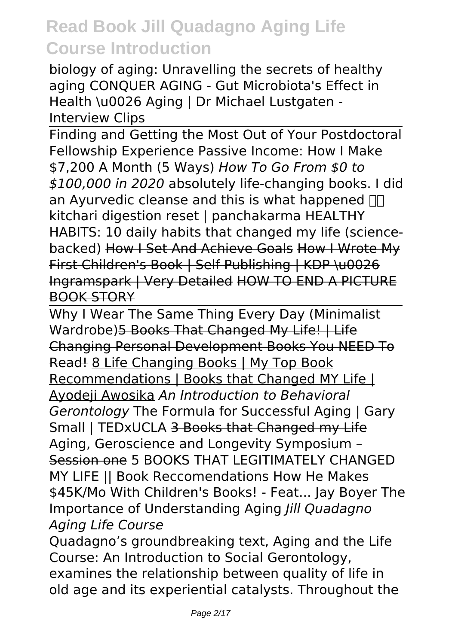biology of aging: Unravelling the secrets of healthy aging CONQUER AGING - Gut Microbiota's Effect in Health \u0026 Aging | Dr Michael Lustgaten - Interview Clips

Finding and Getting the Most Out of Your Postdoctoral Fellowship Experience Passive Income: How I Make \$7,200 A Month (5 Ways) *How To Go From \$0 to \$100,000 in 2020* absolutely life-changing books. I did an Ayurvedic cleanse and this is what happened  $\Pi$ kitchari digestion reset | panchakarma HEALTHY HABITS: 10 daily habits that changed my life (sciencebacked) How I Set And Achieve Goals How I Wrote My First Children's Book | Self Publishing | KDP \u0026 Ingramspark | Very Detailed HOW TO END A PICTURE BOOK STORY

Why I Wear The Same Thing Every Day (Minimalist Wardrobe)5 Books That Changed My Life! | Life Changing Personal Development Books You NEED To Read! 8 Life Changing Books | My Top Book Recommendations | Books that Changed MY Life | Ayodeji Awosika *An Introduction to Behavioral Gerontology* The Formula for Successful Aging | Gary Small | TEDxUCLA 3 Books that Changed my Life Aging, Geroscience and Longevity Symposium – Session one 5 BOOKS THAT LEGITIMATELY CHANGED MY LIFE || Book Reccomendations How He Makes \$45K/Mo With Children's Books! - Feat... Jay Boyer The Importance of Understanding Aging *Jill Quadagno Aging Life Course*

Quadagno's groundbreaking text, Aging and the Life Course: An Introduction to Social Gerontology, examines the relationship between quality of life in old age and its experiential catalysts. Throughout the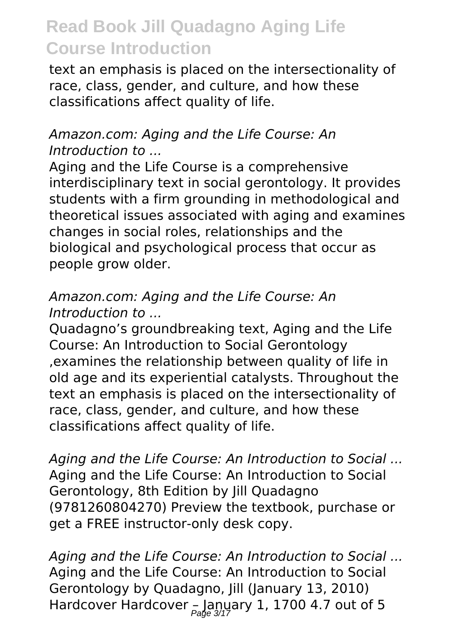text an emphasis is placed on the intersectionality of race, class, gender, and culture, and how these classifications affect quality of life.

#### *Amazon.com: Aging and the Life Course: An Introduction to ...*

Aging and the Life Course is a comprehensive interdisciplinary text in social gerontology. It provides students with a firm grounding in methodological and theoretical issues associated with aging and examines changes in social roles, relationships and the biological and psychological process that occur as people grow older.

#### *Amazon.com: Aging and the Life Course: An Introduction to ...*

Quadagno's groundbreaking text, Aging and the Life Course: An Introduction to Social Gerontology ,examines the relationship between quality of life in old age and its experiential catalysts. Throughout the text an emphasis is placed on the intersectionality of race, class, gender, and culture, and how these classifications affect quality of life.

*Aging and the Life Course: An Introduction to Social ...* Aging and the Life Course: An Introduction to Social Gerontology, 8th Edition by Jill Quadagno (9781260804270) Preview the textbook, purchase or get a FREE instructor-only desk copy.

*Aging and the Life Course: An Introduction to Social ...* Aging and the Life Course: An Introduction to Social Gerontology by Quadagno, Jill (January 13, 2010) Hardcover Hardcover – January 1, 1700 4.7 out of 5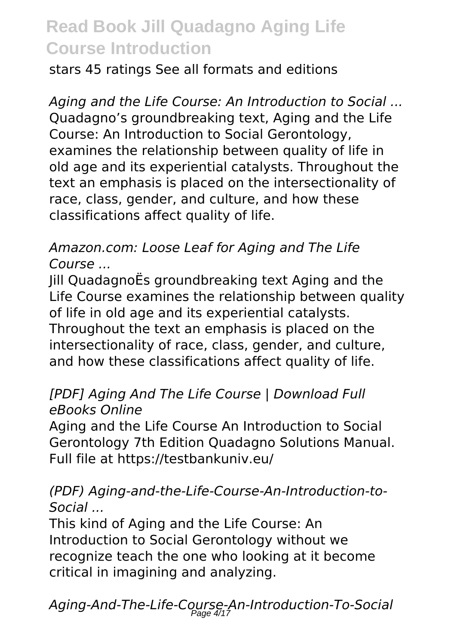stars 45 ratings See all formats and editions

*Aging and the Life Course: An Introduction to Social ...* Quadagno's groundbreaking text, Aging and the Life Course: An Introduction to Social Gerontology, examines the relationship between quality of life in old age and its experiential catalysts. Throughout the text an emphasis is placed on the intersectionality of race, class, gender, and culture, and how these classifications affect quality of life.

### *Amazon.com: Loose Leaf for Aging and The Life Course ...*

Jill QuadagnoËs groundbreaking text Aging and the Life Course examines the relationship between quality of life in old age and its experiential catalysts. Throughout the text an emphasis is placed on the intersectionality of race, class, gender, and culture, and how these classifications affect quality of life.

### *[PDF] Aging And The Life Course | Download Full eBooks Online*

Aging and the Life Course An Introduction to Social Gerontology 7th Edition Quadagno Solutions Manual. Full file at https://testbankuniv.eu/

#### *(PDF) Aging-and-the-Life-Course-An-Introduction-to-Social ...*

This kind of Aging and the Life Course: An Introduction to Social Gerontology without we recognize teach the one who looking at it become critical in imagining and analyzing.

*Aging-And-The-Life-Course-An-Introduction-To-Social* Page 4/17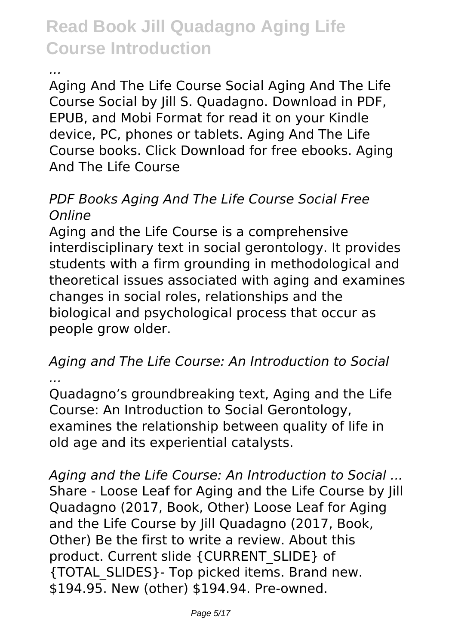*...*

Aging And The Life Course Social Aging And The Life Course Social by Jill S. Quadagno. Download in PDF, EPUB, and Mobi Format for read it on your Kindle device, PC, phones or tablets. Aging And The Life Course books. Click Download for free ebooks. Aging And The Life Course

#### *PDF Books Aging And The Life Course Social Free Online*

Aging and the Life Course is a comprehensive interdisciplinary text in social gerontology. It provides students with a firm grounding in methodological and theoretical issues associated with aging and examines changes in social roles, relationships and the biological and psychological process that occur as people grow older.

#### *Aging and The Life Course: An Introduction to Social ...*

Quadagno's groundbreaking text, Aging and the Life Course: An Introduction to Social Gerontology, examines the relationship between quality of life in old age and its experiential catalysts.

*Aging and the Life Course: An Introduction to Social ...* Share - Loose Leaf for Aging and the Life Course by Jill Quadagno (2017, Book, Other) Loose Leaf for Aging and the Life Course by Iill Ouadagno (2017, Book, Other) Be the first to write a review. About this product. Current slide {CURRENT\_SLIDE} of {TOTAL\_SLIDES}- Top picked items. Brand new. \$194.95. New (other) \$194.94. Pre-owned.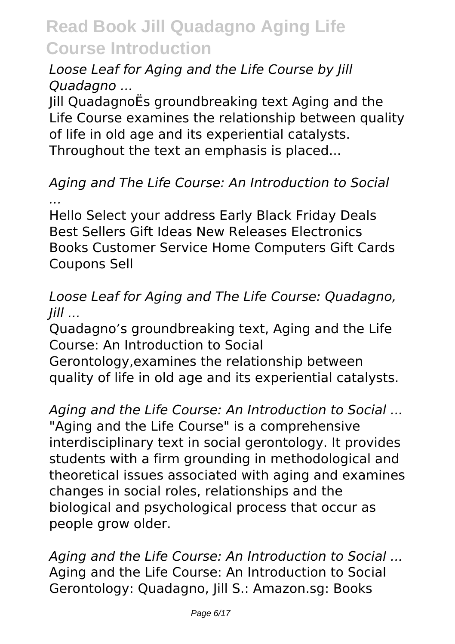### *Loose Leaf for Aging and the Life Course by Jill Quadagno ...*

Jill QuadagnoËs groundbreaking text Aging and the Life Course examines the relationship between quality of life in old age and its experiential catalysts. Throughout the text an emphasis is placed...

### *Aging and The Life Course: An Introduction to Social ...*

Hello Select your address Early Black Friday Deals Best Sellers Gift Ideas New Releases Electronics Books Customer Service Home Computers Gift Cards Coupons Sell

#### *Loose Leaf for Aging and The Life Course: Quadagno, Jill ...*

Quadagno's groundbreaking text, Aging and the Life Course: An Introduction to Social

Gerontology,examines the relationship between quality of life in old age and its experiential catalysts.

*Aging and the Life Course: An Introduction to Social ...* "Aging and the Life Course" is a comprehensive interdisciplinary text in social gerontology. It provides students with a firm grounding in methodological and theoretical issues associated with aging and examines changes in social roles, relationships and the biological and psychological process that occur as people grow older.

*Aging and the Life Course: An Introduction to Social ...* Aging and the Life Course: An Introduction to Social Gerontology: Quadagno, Jill S.: Amazon.sg: Books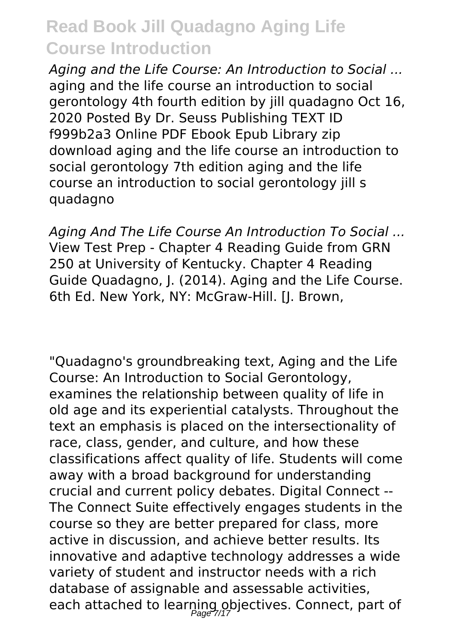*Aging and the Life Course: An Introduction to Social ...* aging and the life course an introduction to social gerontology 4th fourth edition by jill quadagno Oct 16, 2020 Posted By Dr. Seuss Publishing TEXT ID f999b2a3 Online PDF Ebook Epub Library zip download aging and the life course an introduction to social gerontology 7th edition aging and the life course an introduction to social gerontology jill s quadagno

*Aging And The Life Course An Introduction To Social ...* View Test Prep - Chapter 4 Reading Guide from GRN 250 at University of Kentucky. Chapter 4 Reading Guide Quadagno, J. (2014). Aging and the Life Course. 6th Ed. New York, NY: McGraw-Hill. [J. Brown,

"Quadagno's groundbreaking text, Aging and the Life Course: An Introduction to Social Gerontology, examines the relationship between quality of life in old age and its experiential catalysts. Throughout the text an emphasis is placed on the intersectionality of race, class, gender, and culture, and how these classifications affect quality of life. Students will come away with a broad background for understanding crucial and current policy debates. Digital Connect -- The Connect Suite effectively engages students in the course so they are better prepared for class, more active in discussion, and achieve better results. Its innovative and adaptive technology addresses a wide variety of student and instructor needs with a rich database of assignable and assessable activities, each attached to learning objectives. Connect, part of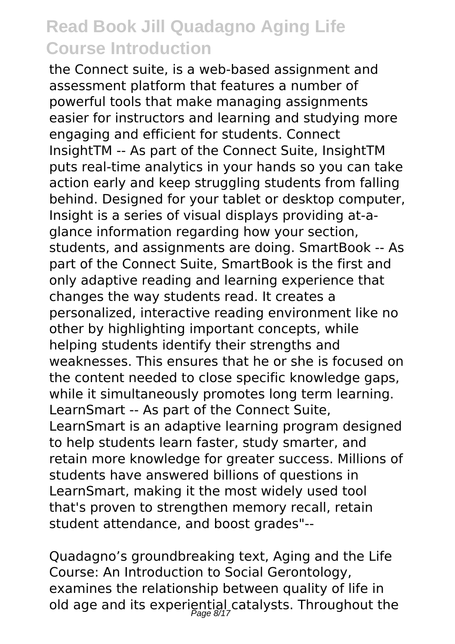the Connect suite, is a web-based assignment and assessment platform that features a number of powerful tools that make managing assignments easier for instructors and learning and studying more engaging and efficient for students. Connect InsightTM -- As part of the Connect Suite, InsightTM puts real-time analytics in your hands so you can take action early and keep struggling students from falling behind. Designed for your tablet or desktop computer, Insight is a series of visual displays providing at-aglance information regarding how your section, students, and assignments are doing. SmartBook -- As part of the Connect Suite, SmartBook is the first and only adaptive reading and learning experience that changes the way students read. It creates a personalized, interactive reading environment like no other by highlighting important concepts, while helping students identify their strengths and weaknesses. This ensures that he or she is focused on the content needed to close specific knowledge gaps, while it simultaneously promotes long term learning. LearnSmart -- As part of the Connect Suite, LearnSmart is an adaptive learning program designed to help students learn faster, study smarter, and retain more knowledge for greater success. Millions of students have answered billions of questions in LearnSmart, making it the most widely used tool that's proven to strengthen memory recall, retain student attendance, and boost grades"--

Quadagno's groundbreaking text, Aging and the Life Course: An Introduction to Social Gerontology, examines the relationship between quality of life in old age and its experiential catalysts. Throughout the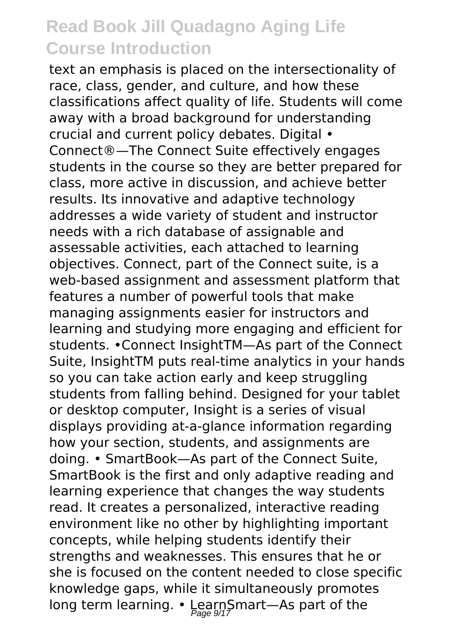text an emphasis is placed on the intersectionality of race, class, gender, and culture, and how these classifications affect quality of life. Students will come away with a broad background for understanding crucial and current policy debates. Digital • Connect®—The Connect Suite effectively engages students in the course so they are better prepared for class, more active in discussion, and achieve better results. Its innovative and adaptive technology addresses a wide variety of student and instructor needs with a rich database of assignable and assessable activities, each attached to learning objectives. Connect, part of the Connect suite, is a web-based assignment and assessment platform that features a number of powerful tools that make managing assignments easier for instructors and learning and studying more engaging and efficient for students. •Connect InsightTM—As part of the Connect Suite, InsightTM puts real-time analytics in your hands so you can take action early and keep struggling students from falling behind. Designed for your tablet or desktop computer, Insight is a series of visual displays providing at-a-glance information regarding how your section, students, and assignments are doing. • SmartBook—As part of the Connect Suite, SmartBook is the first and only adaptive reading and learning experience that changes the way students read. It creates a personalized, interactive reading environment like no other by highlighting important concepts, while helping students identify their strengths and weaknesses. This ensures that he or she is focused on the content needed to close specific knowledge gaps, while it simultaneously promotes long term learning. • LearnSmart—As part of the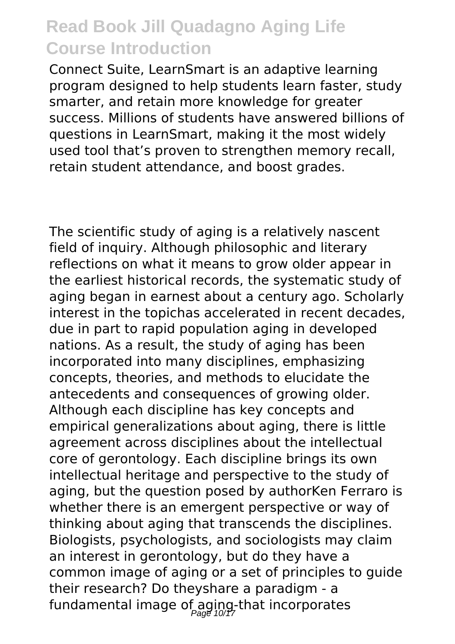Connect Suite, LearnSmart is an adaptive learning program designed to help students learn faster, study smarter, and retain more knowledge for greater success. Millions of students have answered billions of questions in LearnSmart, making it the most widely used tool that's proven to strengthen memory recall, retain student attendance, and boost grades.

The scientific study of aging is a relatively nascent field of inquiry. Although philosophic and literary reflections on what it means to grow older appear in the earliest historical records, the systematic study of aging began in earnest about a century ago. Scholarly interest in the topichas accelerated in recent decades, due in part to rapid population aging in developed nations. As a result, the study of aging has been incorporated into many disciplines, emphasizing concepts, theories, and methods to elucidate the antecedents and consequences of growing older. Although each discipline has key concepts and empirical generalizations about aging, there is little agreement across disciplines about the intellectual core of gerontology. Each discipline brings its own intellectual heritage and perspective to the study of aging, but the question posed by authorKen Ferraro is whether there is an emergent perspective or way of thinking about aging that transcends the disciplines. Biologists, psychologists, and sociologists may claim an interest in gerontology, but do they have a common image of aging or a set of principles to guide their research? Do theyshare a paradigm - a fundamental image of aging-that incorporates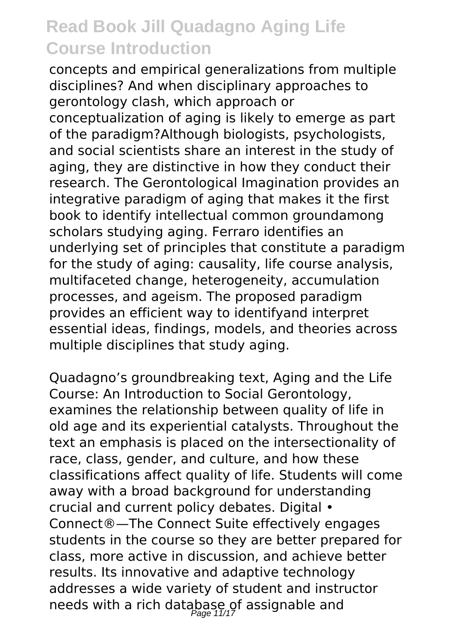concepts and empirical generalizations from multiple disciplines? And when disciplinary approaches to gerontology clash, which approach or conceptualization of aging is likely to emerge as part of the paradigm?Although biologists, psychologists, and social scientists share an interest in the study of aging, they are distinctive in how they conduct their research. The Gerontological Imagination provides an integrative paradigm of aging that makes it the first book to identify intellectual common groundamong scholars studying aging. Ferraro identifies an underlying set of principles that constitute a paradigm for the study of aging: causality, life course analysis, multifaceted change, heterogeneity, accumulation processes, and ageism. The proposed paradigm provides an efficient way to identifyand interpret essential ideas, findings, models, and theories across multiple disciplines that study aging.

Quadagno's groundbreaking text, Aging and the Life Course: An Introduction to Social Gerontology, examines the relationship between quality of life in old age and its experiential catalysts. Throughout the text an emphasis is placed on the intersectionality of race, class, gender, and culture, and how these classifications affect quality of life. Students will come away with a broad background for understanding crucial and current policy debates. Digital • Connect®—The Connect Suite effectively engages students in the course so they are better prepared for class, more active in discussion, and achieve better results. Its innovative and adaptive technology addresses a wide variety of student and instructor needs with a rich database of assignable and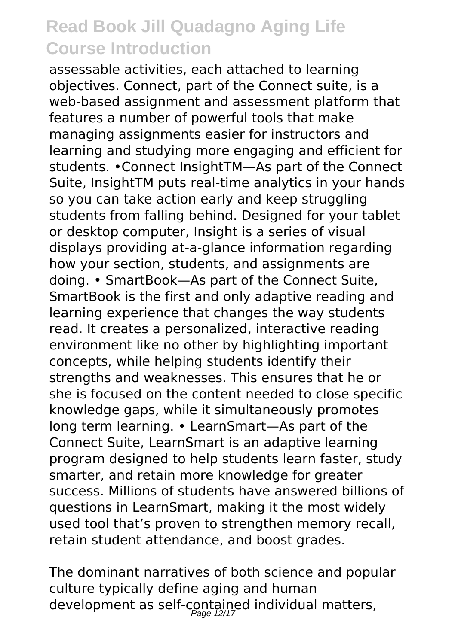assessable activities, each attached to learning objectives. Connect, part of the Connect suite, is a web-based assignment and assessment platform that features a number of powerful tools that make managing assignments easier for instructors and learning and studying more engaging and efficient for students. •Connect InsightTM—As part of the Connect Suite, InsightTM puts real-time analytics in your hands so you can take action early and keep struggling students from falling behind. Designed for your tablet or desktop computer, Insight is a series of visual displays providing at-a-glance information regarding how your section, students, and assignments are doing. • SmartBook—As part of the Connect Suite, SmartBook is the first and only adaptive reading and learning experience that changes the way students read. It creates a personalized, interactive reading environment like no other by highlighting important concepts, while helping students identify their strengths and weaknesses. This ensures that he or she is focused on the content needed to close specific knowledge gaps, while it simultaneously promotes long term learning. • LearnSmart—As part of the Connect Suite, LearnSmart is an adaptive learning program designed to help students learn faster, study smarter, and retain more knowledge for greater success. Millions of students have answered billions of questions in LearnSmart, making it the most widely used tool that's proven to strengthen memory recall, retain student attendance, and boost grades.

The dominant narratives of both science and popular culture typically define aging and human development as self-contained individual matters,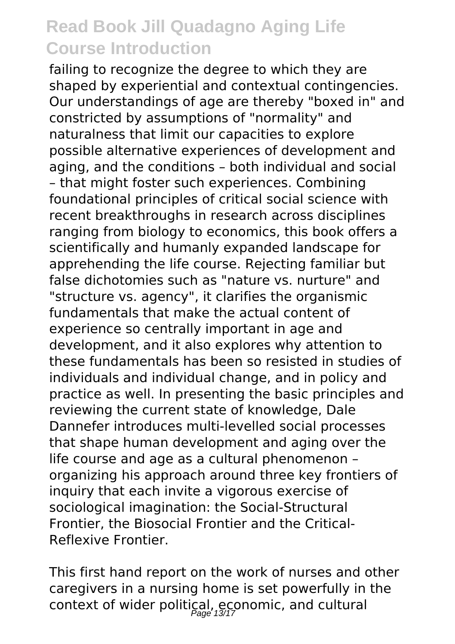failing to recognize the degree to which they are shaped by experiential and contextual contingencies. Our understandings of age are thereby "boxed in" and constricted by assumptions of "normality" and naturalness that limit our capacities to explore possible alternative experiences of development and aging, and the conditions – both individual and social – that might foster such experiences. Combining foundational principles of critical social science with recent breakthroughs in research across disciplines ranging from biology to economics, this book offers a scientifically and humanly expanded landscape for apprehending the life course. Rejecting familiar but false dichotomies such as "nature vs. nurture" and "structure vs. agency", it clarifies the organismic fundamentals that make the actual content of experience so centrally important in age and development, and it also explores why attention to these fundamentals has been so resisted in studies of individuals and individual change, and in policy and practice as well. In presenting the basic principles and reviewing the current state of knowledge, Dale Dannefer introduces multi-levelled social processes that shape human development and aging over the life course and age as a cultural phenomenon – organizing his approach around three key frontiers of inquiry that each invite a vigorous exercise of sociological imagination: the Social-Structural Frontier, the Biosocial Frontier and the Critical-Reflexive Frontier.

This first hand report on the work of nurses and other caregivers in a nursing home is set powerfully in the context of wider political, economic, and cultural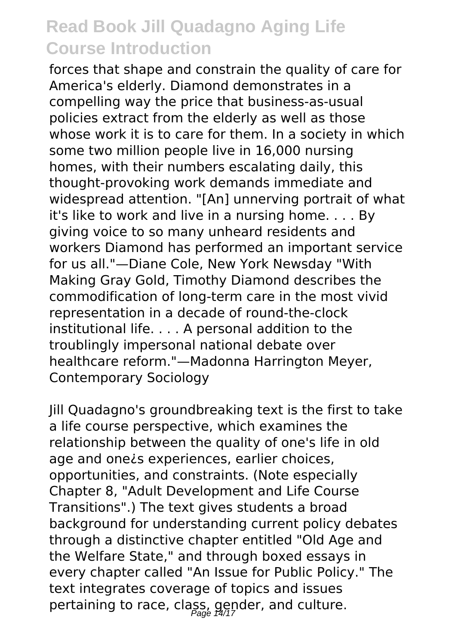forces that shape and constrain the quality of care for America's elderly. Diamond demonstrates in a compelling way the price that business-as-usual policies extract from the elderly as well as those whose work it is to care for them. In a society in which some two million people live in 16,000 nursing homes, with their numbers escalating daily, this thought-provoking work demands immediate and widespread attention. "[An] unnerving portrait of what it's like to work and live in a nursing home. . . . By giving voice to so many unheard residents and workers Diamond has performed an important service for us all."—Diane Cole, New York Newsday "With Making Gray Gold, Timothy Diamond describes the commodification of long-term care in the most vivid representation in a decade of round-the-clock institutional life. . . . A personal addition to the troublingly impersonal national debate over healthcare reform."—Madonna Harrington Meyer, Contemporary Sociology

Jill Quadagno's groundbreaking text is the first to take a life course perspective, which examines the relationship between the quality of one's life in old age and one¿s experiences, earlier choices, opportunities, and constraints. (Note especially Chapter 8, "Adult Development and Life Course Transitions".) The text gives students a broad background for understanding current policy debates through a distinctive chapter entitled "Old Age and the Welfare State," and through boxed essays in every chapter called "An Issue for Public Policy." The text integrates coverage of topics and issues pertaining to race, class, gender, and culture.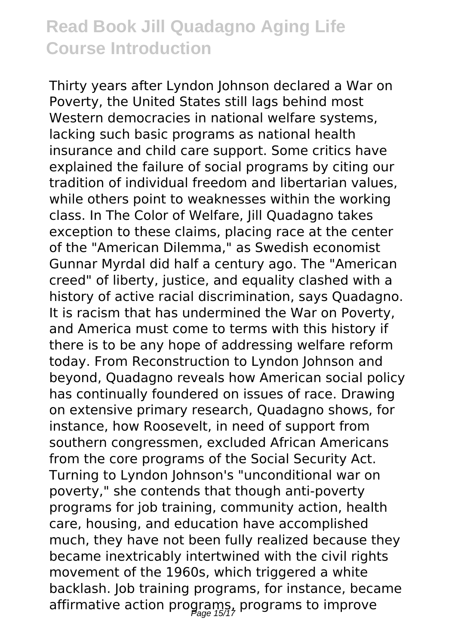Thirty years after Lyndon Johnson declared a War on Poverty, the United States still lags behind most Western democracies in national welfare systems, lacking such basic programs as national health insurance and child care support. Some critics have explained the failure of social programs by citing our tradition of individual freedom and libertarian values, while others point to weaknesses within the working class. In The Color of Welfare, Jill Quadagno takes exception to these claims, placing race at the center of the "American Dilemma," as Swedish economist Gunnar Myrdal did half a century ago. The "American creed" of liberty, justice, and equality clashed with a history of active racial discrimination, says Quadagno. It is racism that has undermined the War on Poverty, and America must come to terms with this history if there is to be any hope of addressing welfare reform today. From Reconstruction to Lyndon Johnson and beyond, Quadagno reveals how American social policy has continually foundered on issues of race. Drawing on extensive primary research, Quadagno shows, for instance, how Roosevelt, in need of support from southern congressmen, excluded African Americans from the core programs of the Social Security Act. Turning to Lyndon Johnson's "unconditional war on poverty," she contends that though anti-poverty programs for job training, community action, health care, housing, and education have accomplished much, they have not been fully realized because they became inextricably intertwined with the civil rights movement of the 1960s, which triggered a white backlash. Job training programs, for instance, became affirmative action programs, programs to improve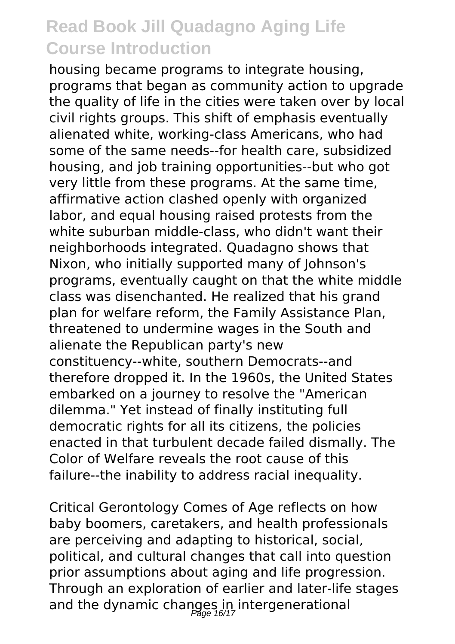housing became programs to integrate housing, programs that began as community action to upgrade the quality of life in the cities were taken over by local civil rights groups. This shift of emphasis eventually alienated white, working-class Americans, who had some of the same needs--for health care, subsidized housing, and job training opportunities--but who got very little from these programs. At the same time, affirmative action clashed openly with organized labor, and equal housing raised protests from the white suburban middle-class, who didn't want their neighborhoods integrated. Quadagno shows that Nixon, who initially supported many of Johnson's programs, eventually caught on that the white middle class was disenchanted. He realized that his grand plan for welfare reform, the Family Assistance Plan, threatened to undermine wages in the South and alienate the Republican party's new constituency--white, southern Democrats--and therefore dropped it. In the 1960s, the United States embarked on a journey to resolve the "American dilemma." Yet instead of finally instituting full democratic rights for all its citizens, the policies enacted in that turbulent decade failed dismally. The Color of Welfare reveals the root cause of this failure--the inability to address racial inequality.

Critical Gerontology Comes of Age reflects on how baby boomers, caretakers, and health professionals are perceiving and adapting to historical, social, political, and cultural changes that call into question prior assumptions about aging and life progression. Through an exploration of earlier and later-life stages and the dynamic changes in intergenerational